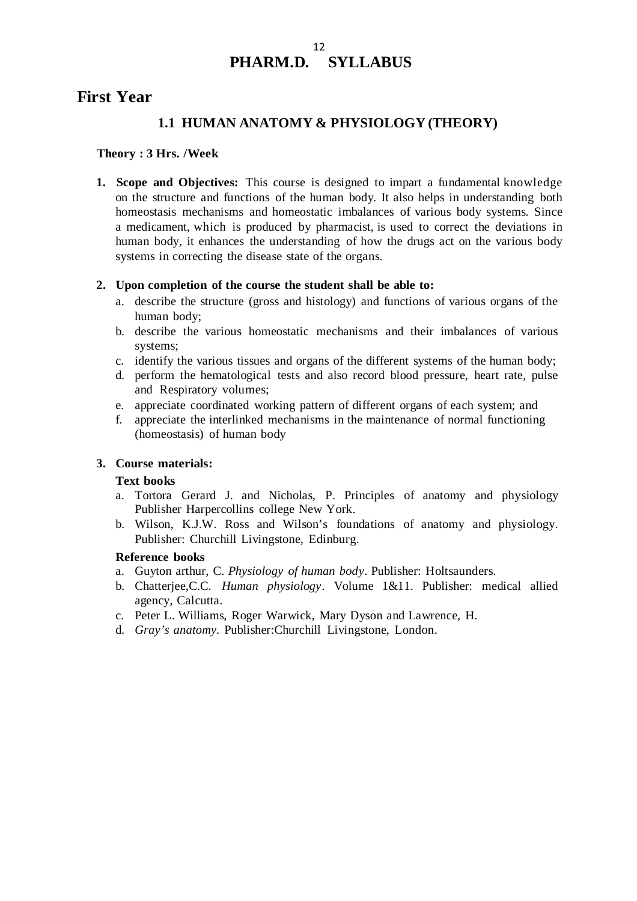## 12 **PHARM.D. SYLLABUS**

# **First Year**

## **1.1 HUMAN ANATOMY & PHYSIOLOGY (THEORY)**

## **Theory : 3 Hrs. /Week**

**1. Scope and Objectives:** This course is designed to impart a fundamental knowledge on the structure and functions of the human body. It also helps in understanding both homeostasis mechanisms and homeostatic imbalances of various body systems. Since a medicament, which is produced by pharmacist, is used to correct the deviations in human body, it enhances the understanding of how the drugs act on the various body systems in correcting the disease state of the organs.

## **2. Upon completion of the course the student shall be able to:**

- a. describe the structure (gross and histology) and functions of various organs of the human body;
- b. describe the various homeostatic mechanisms and their imbalances of various systems;
- c. identify the various tissues and organs of the different systems of the human body;
- d. perform the hematological tests and also record blood pressure, heart rate, pulse and Respiratory volumes;
- e. appreciate coordinated working pattern of different organs of each system; and
- f. appreciate the interlinked mechanisms in the maintenance of normal functioning (homeostasis) of human body

#### **3. Course materials:**

#### **Text books**

- a. Tortora Gerard J. and Nicholas, P. Principles of anatomy and physiology Publisher Harpercollins college New York.
- b. Wilson, K.J.W. Ross and Wilson's foundations of anatomy and physiology. Publisher: Churchill Livingstone, Edinburg.

## **Reference books**

- a. Guyton arthur, C. *Physiology of human body*. Publisher: Holtsaunders.
- b. Chatterjee,C.C. *Human physiology*. Volume 1&11. Publisher: medical allied agency, Calcutta.
- c. Peter L. Williams, Roger Warwick, Mary Dyson and Lawrence, H.
- d. *Gray's anatomy.* Publisher:Churchill Livingstone, London.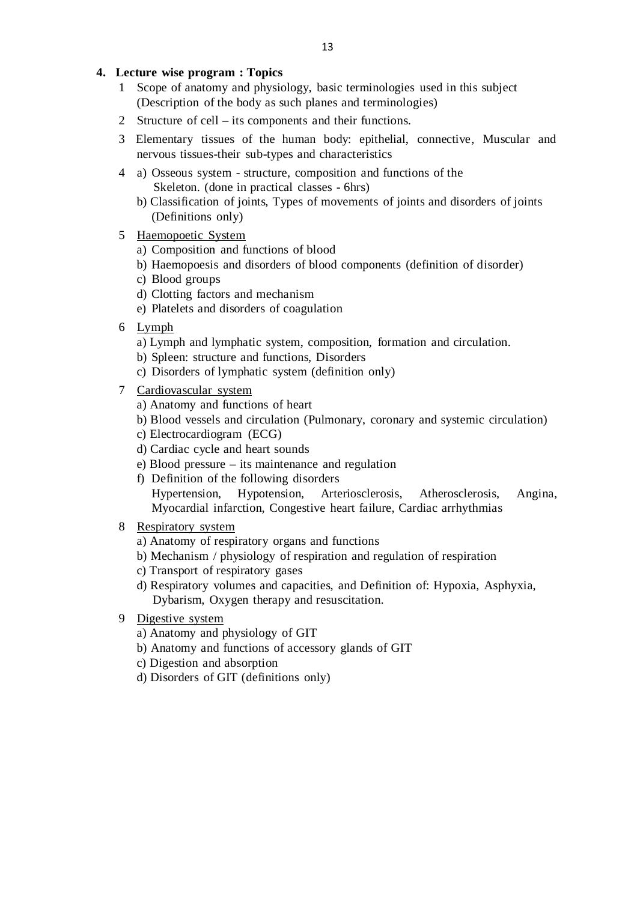## **4. Lecture wise program : Topics**

- 1 Scope of anatomy and physiology, basic terminologies used in this subject (Description of the body as such planes and terminologies)
- 2 Structure of cell its components and their functions.
- 3 Elementary tissues of the human body: epithelial, connective, Muscular and nervous tissues-their sub-types and characteristics
- 4 a) Osseous system structure, composition and functions of the Skeleton. (done in practical classes - 6hrs)
	- b) Classification of joints, Types of movements of joints and disorders of joints (Definitions only)
- 5 Haemopoetic System
	- a) Composition and functions of blood
	- b) Haemopoesis and disorders of blood components (definition of disorder)
	- c) Blood groups
	- d) Clotting factors and mechanism
	- e) Platelets and disorders of coagulation
- 6 Lymph
	- a) Lymph and lymphatic system, composition, formation and circulation.
	- b) Spleen: structure and functions, Disorders
	- c) Disorders of lymphatic system (definition only)
- 7 Cardiovascular system
	- a) Anatomy and functions of heart
	- b) Blood vessels and circulation (Pulmonary, coronary and systemic circulation)
	- c) Electrocardiogram (ECG)
	- d) Cardiac cycle and heart sounds
	- e) Blood pressure its maintenance and regulation
	- f) Definition of the following disorders Hypertension, Hypotension, Arteriosclerosis, Atherosclerosis, Angina, Myocardial infarction, Congestive heart failure, Cardiac arrhythmias
- 8 Respiratory system
	- a) Anatomy of respiratory organs and functions
	- b) Mechanism / physiology of respiration and regulation of respiration
	- c) Transport of respiratory gases
	- d) Respiratory volumes and capacities, and Definition of: Hypoxia, Asphyxia, Dybarism, Oxygen therapy and resuscitation.
- 9 Digestive system
	- a) Anatomy and physiology of GIT
	- b) Anatomy and functions of accessory glands of GIT
	- c) Digestion and absorption
	- d) Disorders of GIT (definitions only)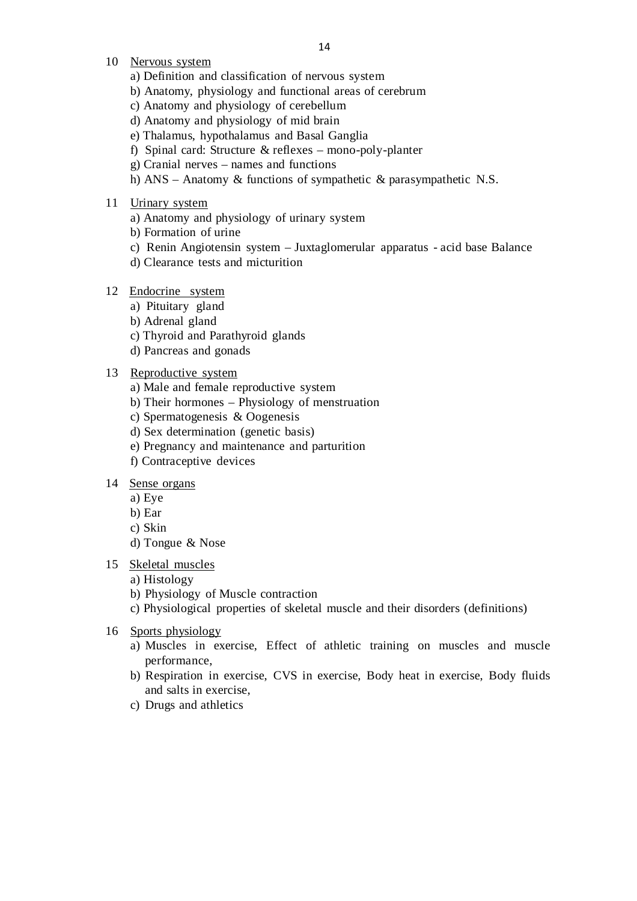- 10 Nervous system
	- a) Definition and classification of nervous system
	- b) Anatomy, physiology and functional areas of cerebrum
	- c) Anatomy and physiology of cerebellum
	- d) Anatomy and physiology of mid brain
	- e) Thalamus, hypothalamus and Basal Ganglia
	- f) Spinal card: Structure & reflexes mono-poly-planter
	- g) Cranial nerves names and functions
	- h) ANS Anatomy & functions of sympathetic & parasympathetic N.S.
- 11 Urinary system
	- a) Anatomy and physiology of urinary system
	- b) Formation of urine
	- c) Renin Angiotensin system Juxtaglomerular apparatus acid base Balance
	- d) Clearance tests and micturition

### 12 Endocrine system

- a) Pituitary gland
- b) Adrenal gland
- c) Thyroid and Parathyroid glands
- d) Pancreas and gonads

### 13 Reproductive system

- a) Male and female reproductive system
- b) Their hormones Physiology of menstruation
- c) Spermatogenesis & Oogenesis
- d) Sex determination (genetic basis)
- e) Pregnancy and maintenance and parturition
- f) Contraceptive devices

#### 14 Sense organs

- a) Eye
- b) Ear
- c) Skin
- d) Tongue & Nose
- 15 Skeletal muscles
	- a) Histology
	- b) Physiology of Muscle contraction
	- c) Physiological properties of skeletal muscle and their disorders (definitions)
- 16 Sports physiology
	- a) Muscles in exercise, Effect of athletic training on muscles and muscle performance,
	- b) Respiration in exercise, CVS in exercise, Body heat in exercise, Body fluids and salts in exercise,
	- c) Drugs and athletics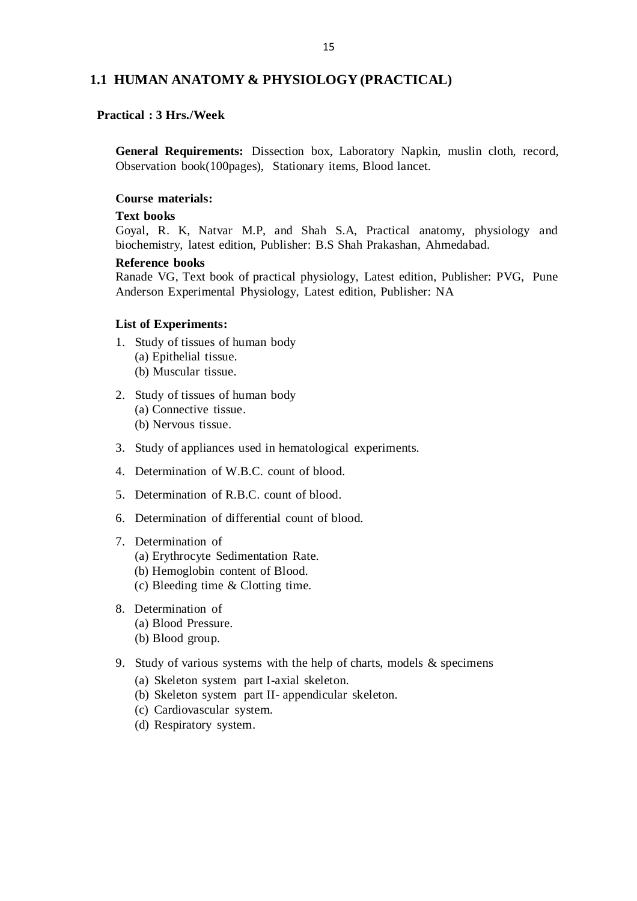## **1.1 HUMAN ANATOMY & PHYSIOLOGY (PRACTICAL)**

## **Practical : 3 Hrs./Week**

**General Requirements:** Dissection box, Laboratory Napkin, muslin cloth, record, Observation book(100pages), Stationary items, Blood lancet.

#### **Course materials:**

#### **Text books**

Goyal, R. K, Natvar M.P, and Shah S.A, Practical anatomy, physiology and biochemistry, latest edition, Publisher: B.S Shah Prakashan, Ahmedabad.

#### **Reference books**

Ranade VG, Text book of practical physiology, Latest edition, Publisher: PVG, Pune Anderson Experimental Physiology, Latest edition, Publisher: NA

#### **List of Experiments:**

- 1. Study of tissues of human body (a) Epithelial tissue. (b) Muscular tissue.
- 2. Study of tissues of human body (a) Connective tissue. (b) Nervous tissue.
- 3. Study of appliances used in hematological experiments.
- 4. Determination of W.B.C. count of blood.
- 5. Determination of R.B.C. count of blood.
- 6. Determination of differential count of blood.

## 7. Determination of

- (a) Erythrocyte Sedimentation Rate.
- (b) Hemoglobin content of Blood.
- (c) Bleeding time & Clotting time.
- 8. Determination of (a) Blood Pressure.
	- (b) Blood group.
- 9. Study of various systems with the help of charts, models & specimens
	- (a) Skeleton system part I-axial skeleton.
	- (b) Skeleton system part II- appendicular skeleton.
	- (c) Cardiovascular system.
	- (d) Respiratory system.